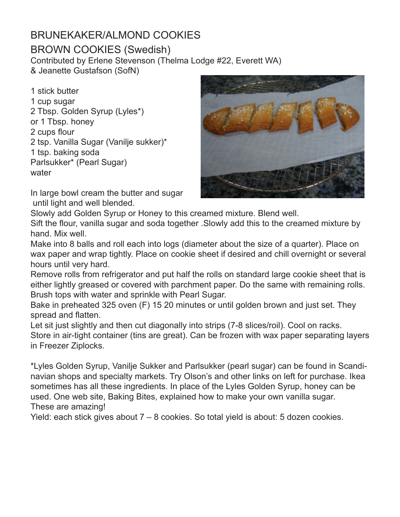# BRUNEKAKER/ALMOND COOKIES

### BROWN COOKIES (Swedish)

Contributed by Erlene Stevenson (Thelma Lodge #22, Everett WA) & Jeanette Gustafson (SofN)

1 stick butter 1 cup sugar 2 Tbsp. Golden Syrup (Lyles\*) or 1 Tbsp. honey 2 cups flour 2 tsp. Vanilla Sugar (Vanilje sukker)\* 1 tsp. baking soda Parlsukker\* (Pearl Sugar) water



In large bowl cream the butter and sugar until light and well blended.

Slowly add Golden Syrup or Honey to this creamed mixture. Blend well. Sift the flour, vanilla sugar and soda together .Slowly add this to the creamed mixture by hand. Mix well.

Make into 8 balls and roll each into logs (diameter about the size of a quarter). Place on wax paper and wrap tightly. Place on cookie sheet if desired and chill overnight or several hours until very hard.

Remove rolls from refrigerator and put half the rolls on standard large cookie sheet that is either lightly greased or covered with parchment paper. Do the same with remaining rolls. Brush tops with water and sprinkle with Pearl Sugar.

Bake in preheated 325 oven (F) 15 20 minutes or until golden brown and just set. They spread and flatten.

Let sit just slightly and then cut diagonally into strips (7-8 slices/roil). Cool on racks. Store in air-tight container (tins are great). Can be frozen with wax paper separating layers in Freezer Ziplocks.

\*Lyles Golden Syrup, Vanilje Sukker and Parlsukker (pearl sugar) can be found in Scandinavian shops and specialty markets. Try Olson's and other links on left for purchase. Ikea sometimes has all these ingredients. In place of the Lyles Golden Syrup, honey can be used. One web site, Baking Bites, explained how to make your own vanilla sugar. These are amazing!

Yield: each stick gives about 7 – 8 cookies. So total yield is about: 5 dozen cookies.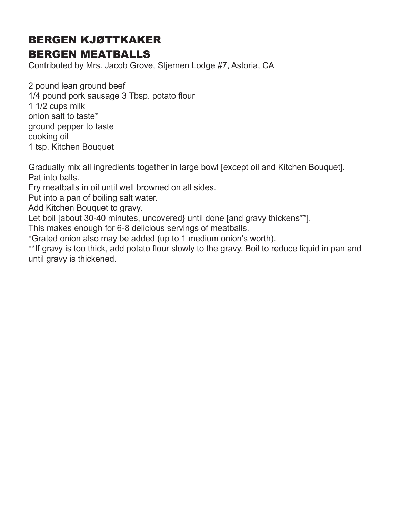# BERGEN KJØTTKAKER BERGEN MEATBALLS

Contributed by Mrs. Jacob Grove, Stjernen Lodge #7, Astoria, CA

2 pound lean ground beef 1/4 pound pork sausage 3 Tbsp. potato flour 1 1/2 cups milk onion salt to taste\* ground pepper to taste cooking oil 1 tsp. Kitchen Bouquet

Gradually mix all ingredients together in large bowl [except oil and Kitchen Bouquet]. Pat into balls.

Fry meatballs in oil until well browned on all sides.

Put into a pan of boiling salt water.

Add Kitchen Bouquet to gravy.

Let boil [about 30-40 minutes, uncovered} until done [and gravy thickens\*\*].

This makes enough for 6-8 delicious servings of meatballs.

\*Grated onion also may be added (up to 1 medium onion's worth).

\*\*If gravy is too thick, add potato flour slowly to the gravy. Boil to reduce liquid in pan and until gravy is thickened.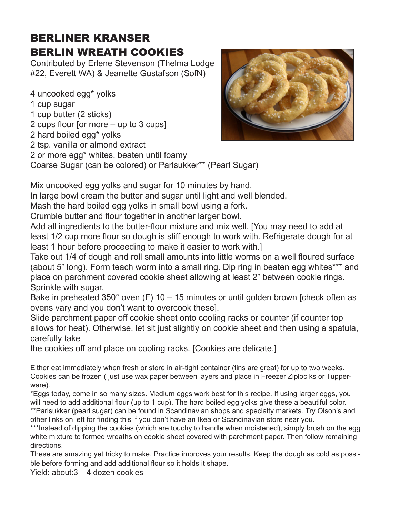## BERLINER KRANSER BERLIN WREATH COOKIES

Contributed by Erlene Stevenson (Thelma Lodge #22, Everett WA) & Jeanette Gustafson (SofN)

4 uncooked egg\* yolks 1 cup sugar 1 cup butter (2 sticks) 2 cups flour [or more – up to 3 cups] 2 hard boiled egg\* yolks 2 tsp. vanilla or almond extract



Coarse Sugar (can be colored) or Parlsukker\*\* (Pearl Sugar)

Mix uncooked egg yolks and sugar for 10 minutes by hand.

In large bowl cream the butter and sugar until light and well blended.

Mash the hard boiled egg yolks in small bowl using a fork.

Crumble butter and flour together in another larger bowl.

Add all ingredients to the butter-flour mixture and mix well. [You may need to add at least 1/2 cup more flour so dough is stiff enough to work with. Refrigerate dough for at least 1 hour before proceeding to make it easier to work with.]

Take out 1/4 of dough and roll small amounts into little worms on a well floured surface (about 5" long). Form teach worm into a small ring. Dip ring in beaten egg whites\*\*\* and place on parchment covered cookie sheet allowing at least 2" between cookie rings. Sprinkle with sugar.

Bake in preheated 350° oven (F) 10 – 15 minutes or until golden brown [check often as ovens vary and you don't want to overcook these].

Slide parchment paper off cookie sheet onto cooling racks or counter (if counter top allows for heat). Otherwise, let sit just slightly on cookie sheet and then using a spatula, carefully take

the cookies off and place on cooling racks. [Cookies are delicate.]

Either eat immediately when fresh or store in air-tight container (tins are great) for up to two weeks. Cookies can be frozen ( just use wax paper between layers and place in Freezer Ziploc ks or Tupperware).

\*Eggs today, come in so many sizes. Medium eggs work best for this recipe. If using larger eggs, you will need to add additional flour (up to 1 cup). The hard boiled egg yolks give these a beautiful color. \*\*Parlsukker (pearl sugar) can be found in Scandinavian shops and specialty markets. Try Olson's and other links on left for finding this if you don't have an Ikea or Scandinavian store near you.

\*\*\*Instead of dipping the cookies (which are touchy to handle when moistened), simply brush on the egg white mixture to formed wreaths on cookie sheet covered with parchment paper. Then follow remaining directions.

These are amazing yet tricky to make. Practice improves your results. Keep the dough as cold as possible before forming and add additional flour so it holds it shape.

Yield: about:3 – 4 dozen cookies

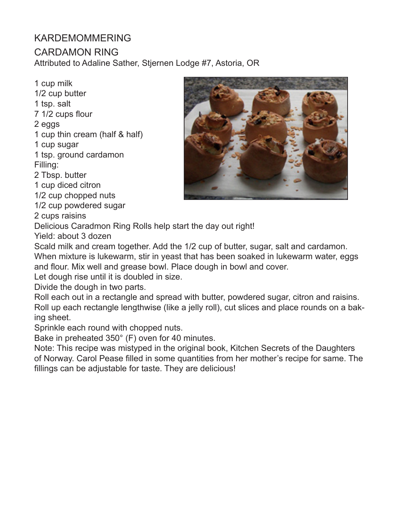## KARDEMOMMERING

### CARDAMON RING

Attributed to Adaline Sather, Stjernen Lodge #7, Astoria, OR

1 cup milk 1/2 cup butter 1 tsp. salt 7 1/2 cups flour 2 eggs 1 cup thin cream (half & half) 1 cup sugar 1 tsp. ground cardamon Filling:

2 Tbsp. butter

1 cup diced citron

1/2 cup chopped nuts

1/2 cup powdered sugar

2 cups raisins

Delicious Caradmon Ring Rolls help start the day out right!

Yield: about 3 dozen

Scald milk and cream together. Add the 1/2 cup of butter, sugar, salt and cardamon. When mixture is lukewarm, stir in yeast that has been soaked in lukewarm water, eggs and flour. Mix well and grease bowl. Place dough in bowl and cover.

Let dough rise until it is doubled in size.

Divide the dough in two parts.

Roll each out in a rectangle and spread with butter, powdered sugar, citron and raisins. Roll up each rectangle lengthwise (like a jelly roll), cut slices and place rounds on a baking sheet.

Sprinkle each round with chopped nuts.

Bake in preheated 350° (F) oven for 40 minutes.

Note: This recipe was mistyped in the original book, Kitchen Secrets of the Daughters of Norway. Carol Pease filled in some quantities from her mother's recipe for same. The fillings can be adjustable for taste. They are delicious!

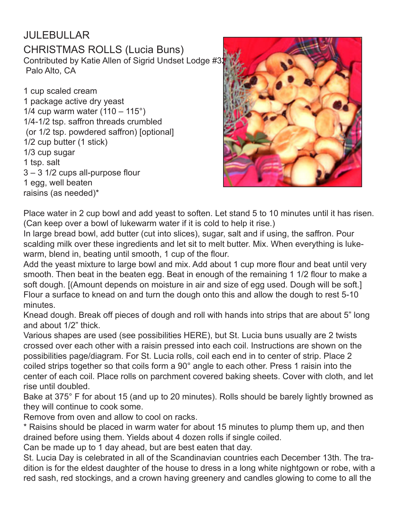#### JULEBULLAR CHRISTMAS ROLLS (Lucia Buns) Contributed by Katie Allen of Sigrid Undset Lodge #3 Palo Alto, CA

1 cup scaled cream 1 package active dry yeast 1/4 cup warm water  $(110 - 115^{\circ})$ 1/4-1/2 tsp. saffron threads crumbled (or 1/2 tsp. powdered saffron) [optional] 1/2 cup butter (1 stick) 1/3 cup sugar 1 tsp. salt 3 – 3 1/2 cups all-purpose flour 1 egg, well beaten raisins (as needed)\*



Place water in 2 cup bowl and add yeast to soften. Let stand 5 to 10 minutes until it has risen. (Can keep over a bowl of lukewarm water if it is cold to help it rise.)

In large bread bowl, add butter (cut into slices), sugar, salt and if using, the saffron. Pour scalding milk over these ingredients and let sit to melt butter. Mix. When everything is lukewarm, blend in, beating until smooth, 1 cup of the flour.

Add the yeast mixture to large bowl and mix. Add about 1 cup more flour and beat until very smooth. Then beat in the beaten egg. Beat in enough of the remaining 1 1/2 flour to make a soft dough. [(Amount depends on moisture in air and size of egg used. Dough will be soft.] Flour a surface to knead on and turn the dough onto this and allow the dough to rest 5-10 minutes.

Knead dough. Break off pieces of dough and roll with hands into strips that are about 5" long and about 1/2" thick.

Various shapes are used (see possibilities HERE), but St. Lucia buns usually are 2 twists crossed over each other with a raisin pressed into each coil. Instructions are shown on the possibilities page/diagram. For St. Lucia rolls, coil each end in to center of strip. Place 2 coiled strips together so that coils form a 90° angle to each other. Press 1 raisin into the center of each coil. Place rolls on parchment covered baking sheets. Cover with cloth, and let rise until doubled.

Bake at 375° F for about 15 (and up to 20 minutes). Rolls should be barely lightly browned as they will continue to cook some.

Remove from oven and allow to cool on racks.

\* Raisins should be placed in warm water for about 15 minutes to plump them up, and then drained before using them. Yields about 4 dozen rolls if single coiled.

Can be made up to 1 day ahead, but are best eaten that day.

St. Lucia Day is celebrated in all of the Scandinavian countries each December 13th. The tradition is for the eldest daughter of the house to dress in a long white nightgown or robe, with a red sash, red stockings, and a crown having greenery and candles glowing to come to all the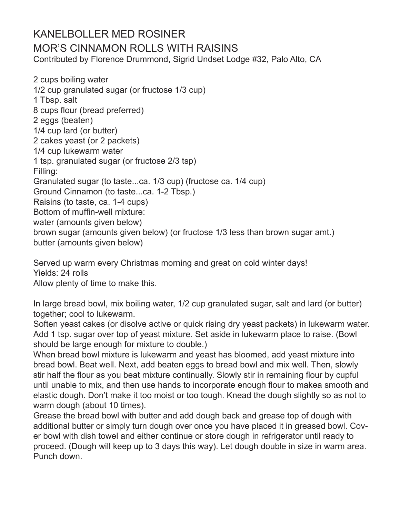### KANELBOLLER MED ROSINER MOR'S CINNAMON ROLLS WITH RAISINS Contributed by Florence Drummond, Sigrid Undset Lodge #32, Palo Alto, CA

2 cups boiling water 1/2 cup granulated sugar (or fructose 1/3 cup) 1 Tbsp. salt 8 cups flour (bread preferred) 2 eggs (beaten) 1/4 cup lard (or butter) 2 cakes yeast (or 2 packets) 1/4 cup lukewarm water 1 tsp. granulated sugar (or fructose 2/3 tsp) Filling: Granulated sugar (to taste...ca. 1/3 cup) (fructose ca. 1/4 cup) Ground Cinnamon (to taste...ca. 1-2 Tbsp.) Raisins (to taste, ca. 1-4 cups) Bottom of muffin-well mixture: water (amounts given below) brown sugar (amounts given below) (or fructose 1/3 less than brown sugar amt.) butter (amounts given below)

Served up warm every Christmas morning and great on cold winter days! Yields: 24 rolls Allow plenty of time to make this.

In large bread bowl, mix boiling water, 1/2 cup granulated sugar, salt and lard (or butter) together; cool to lukewarm.

Soften yeast cakes (or disolve active or quick rising dry yeast packets) in lukewarm water. Add 1 tsp. sugar over top of yeast mixture. Set aside in lukewarm place to raise. (Bowl should be large enough for mixture to double.)

When bread bowl mixture is lukewarm and yeast has bloomed, add yeast mixture into bread bowl. Beat well. Next, add beaten eggs to bread bowl and mix well. Then, slowly stir half the flour as you beat mixture continually. Slowly stir in remaining flour by cupful until unable to mix, and then use hands to incorporate enough flour to makea smooth and elastic dough. Don't make it too moist or too tough. Knead the dough slightly so as not to warm dough (about 10 times).

Grease the bread bowl with butter and add dough back and grease top of dough with additional butter or simply turn dough over once you have placed it in greased bowl. Cover bowl with dish towel and either continue or store dough in refrigerator until ready to proceed. (Dough will keep up to 3 days this way). Let dough double in size in warm area. Punch down.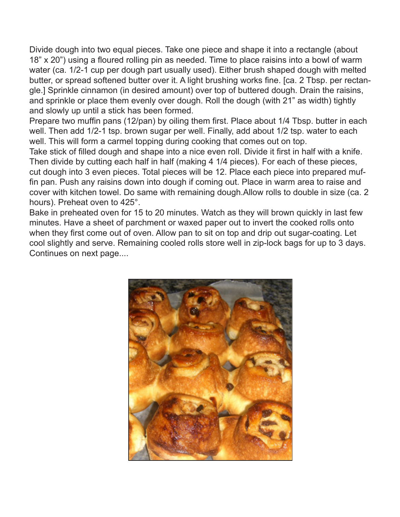Divide dough into two equal pieces. Take one piece and shape it into a rectangle (about 18" x 20") using a floured rolling pin as needed. Time to place raisins into a bowl of warm water (ca. 1/2-1 cup per dough part usually used). Either brush shaped dough with melted butter, or spread softened butter over it. A light brushing works fine. [ca. 2 Tbsp. per rectangle.] Sprinkle cinnamon (in desired amount) over top of buttered dough. Drain the raisins, and sprinkle or place them evenly over dough. Roll the dough (with 21" as width) tightly and slowly up until a stick has been formed.

Prepare two muffin pans (12/pan) by oiling them first. Place about 1/4 Tbsp. butter in each well. Then add 1/2-1 tsp. brown sugar per well. Finally, add about 1/2 tsp. water to each well. This will form a carmel topping during cooking that comes out on top.

Take stick of filled dough and shape into a nice even roll. Divide it first in half with a knife. Then divide by cutting each half in half (making 4 1/4 pieces). For each of these pieces, cut dough into 3 even pieces. Total pieces will be 12. Place each piece into prepared muffin pan. Push any raisins down into dough if coming out. Place in warm area to raise and cover with kitchen towel. Do same with remaining dough.Allow rolls to double in size (ca. 2 hours). Preheat oven to 425°.

Bake in preheated oven for 15 to 20 minutes. Watch as they will brown quickly in last few minutes. Have a sheet of parchment or waxed paper out to invert the cooked rolls onto when they first come out of oven. Allow pan to sit on top and drip out sugar-coating. Let cool slightly and serve. Remaining cooled rolls store well in zip-lock bags for up to 3 days. Continues on next page....

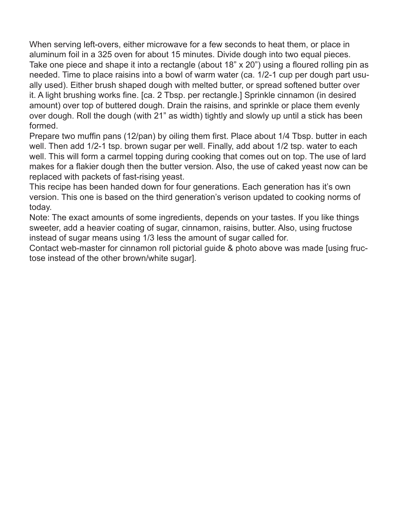When serving left-overs, either microwave for a few seconds to heat them, or place in aluminum foil in a 325 oven for about 15 minutes. Divide dough into two equal pieces. Take one piece and shape it into a rectangle (about 18" x 20") using a floured rolling pin as needed. Time to place raisins into a bowl of warm water (ca. 1/2-1 cup per dough part usually used). Either brush shaped dough with melted butter, or spread softened butter over it. A light brushing works fine. [ca. 2 Tbsp. per rectangle.] Sprinkle cinnamon (in desired amount) over top of buttered dough. Drain the raisins, and sprinkle or place them evenly over dough. Roll the dough (with 21" as width) tightly and slowly up until a stick has been formed.

Prepare two muffin pans (12/pan) by oiling them first. Place about 1/4 Tbsp. butter in each well. Then add 1/2-1 tsp. brown sugar per well. Finally, add about 1/2 tsp. water to each well. This will form a carmel topping during cooking that comes out on top. The use of lard makes for a flakier dough then the butter version. Also, the use of caked yeast now can be replaced with packets of fast-rising yeast.

This recipe has been handed down for four generations. Each generation has it's own version. This one is based on the third generation's verison updated to cooking norms of today.

Note: The exact amounts of some ingredients, depends on your tastes. If you like things sweeter, add a heavier coating of sugar, cinnamon, raisins, butter. Also, using fructose instead of sugar means using 1/3 less the amount of sugar called for.

Contact web-master for cinnamon roll pictorial guide & photo above was made [using fructose instead of the other brown/white sugar].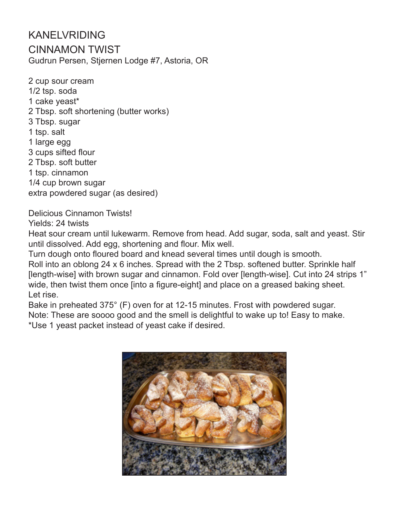#### KANELVRIDING CINNAMON TWIST Gudrun Persen, Stjernen Lodge #7, Astoria, OR

2 cup sour cream 1/2 tsp. soda 1 cake yeast\* 2 Tbsp. soft shortening (butter works) 3 Tbsp. sugar 1 tsp. salt 1 large egg 3 cups sifted flour 2 Tbsp. soft butter 1 tsp. cinnamon 1/4 cup brown sugar extra powdered sugar (as desired)

Delicious Cinnamon Twists! Yields: 24 twists

Heat sour cream until lukewarm. Remove from head. Add sugar, soda, salt and yeast. Stir until dissolved. Add egg, shortening and flour. Mix well.

Turn dough onto floured board and knead several times until dough is smooth. Roll into an oblong 24 x 6 inches. Spread with the 2 Tbsp. softened butter. Sprinkle half [length-wise] with brown sugar and cinnamon. Fold over [length-wise]. Cut into 24 strips 1" wide, then twist them once [into a figure-eight] and place on a greased baking sheet. Let rise.

Bake in preheated 375° (F) oven for at 12-15 minutes. Frost with powdered sugar. Note: These are soooo good and the smell is delightful to wake up to! Easy to make. \*Use 1 yeast packet instead of yeast cake if desired.

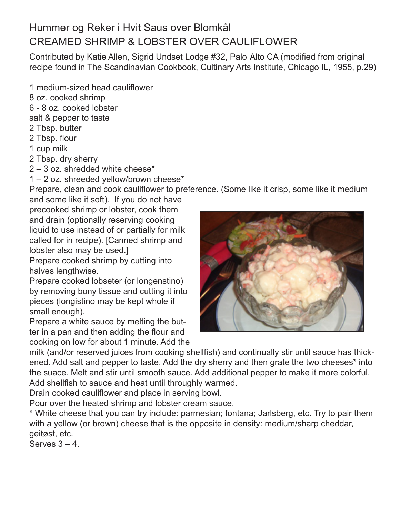# Hummer og Reker i Hvit Saus over Blomkål CREAMED SHRIMP & LOBSTER OVER CAULIFLOWER

Contributed by Katie Allen, Sigrid Undset Lodge #32, Palo Alto CA (modified from original recipe found in The Scandinavian Cookbook, Cultinary Arts Institute, Chicago IL, 1955, p.29)

1 medium-sized head cauliflower

8 oz. cooked shrimp

6 - 8 oz. cooked lobster

- salt & pepper to taste
- 2 Tbsp. butter
- 2 Tbsp. flour
- 1 cup milk
- 2 Tbsp. dry sherry
- 2 3 oz. shredded white cheese\*

1 – 2 oz. shreeded yellow/brown cheese\*

Prepare, clean and cook cauliflower to preference. (Some like it crisp, some like it medium and some like it soft). If you do not have

precooked shrimp or lobster, cook them and drain (optionally reserving cooking liquid to use instead of or partially for milk called for in recipe). [Canned shrimp and lobster also may be used.]

Prepare cooked shrimp by cutting into halves lengthwise.

Prepare cooked lobseter (or longenstino) by removing bony tissue and cutting it into pieces (longistino may be kept whole if small enough).

Prepare a white sauce by melting the butter in a pan and then adding the flour and cooking on low for about 1 minute. Add the



milk (and/or reserved juices from cooking shellfish) and continually stir until sauce has thickened. Add salt and pepper to taste. Add the dry sherry and then grate the two cheeses\* into the suace. Melt and stir until smooth sauce. Add additional pepper to make it more colorful. Add shellfish to sauce and heat until throughly warmed.

Drain cooked cauliflower and place in serving bowl.

Pour over the heated shrimp and lobster cream sauce.

\* White cheese that you can try include: parmesian; fontana; Jarlsberg, etc. Try to pair them with a yellow (or brown) cheese that is the opposite in density: medium/sharp cheddar, geitøst, etc.

Serves  $3 - 4$ .